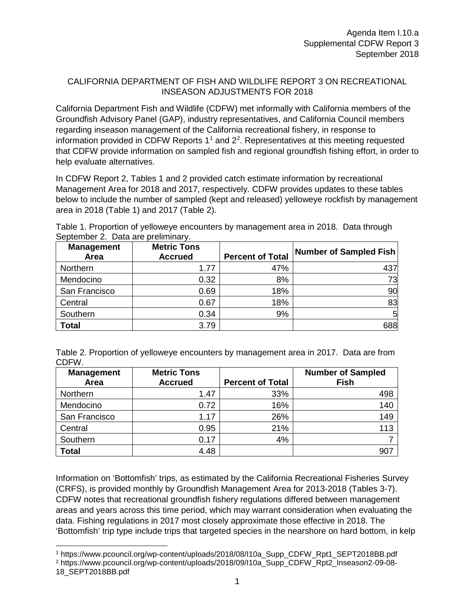## CALIFORNIA DEPARTMENT OF FISH AND WILDLIFE REPORT 3 ON RECREATIONAL INSEASON ADJUSTMENTS FOR 2018

California Department Fish and Wildlife (CDFW) met informally with California members of the Groundfish Advisory Panel (GAP), industry representatives, and California Council members regarding inseason management of the California recreational fishery, in response to information provided in CDFW Reports  $1<sup>1</sup>$  $1<sup>1</sup>$  and  $2<sup>2</sup>$  $2<sup>2</sup>$ . Representatives at this meeting requested that CDFW provide information on sampled fish and regional groundfish fishing effort, in order to help evaluate alternatives.

In CDFW Report 2, Tables 1 and 2 provided catch estimate information by recreational Management Area for 2018 and 2017, respectively. CDFW provides updates to these tables below to include the number of sampled (kept and released) yelloweye rockfish by management area in 2018 (Table 1) and 2017 (Table 2).

Table 1. Proportion of yelloweye encounters by management area in 2018. Data through September 2. Data are preliminary.

| <b>Management</b><br>Area | <b>Metric Tons</b><br><b>Accrued</b> | <b>Percent of Total</b> | <b>Number of Sampled Fish</b> |
|---------------------------|--------------------------------------|-------------------------|-------------------------------|
| Northern                  | 1.77                                 | 47%                     | 437                           |
| Mendocino                 | 0.32                                 | 8%                      | 73                            |
| San Francisco             | 0.69                                 | 18%                     | 90                            |
| Central                   | 0.67                                 | 18%                     | 83                            |
| Southern                  | 0.34                                 | 9%                      | 5                             |
| <b>Total</b>              | 3.79                                 |                         | 688                           |

| Table 2. Proportion of yelloweye encounters by management area in 2017. Data are from |  |
|---------------------------------------------------------------------------------------|--|
| CDFW.                                                                                 |  |

| <b>Management</b><br>Area | <b>Metric Tons</b><br><b>Accrued</b> | <b>Percent of Total</b> | <b>Number of Sampled</b><br><b>Fish</b> |
|---------------------------|--------------------------------------|-------------------------|-----------------------------------------|
| Northern                  | 1.47                                 | 33%                     | 498                                     |
| Mendocino                 | 0.72                                 | 16%                     | 140                                     |
| San Francisco             | 1.17                                 | 26%                     | 149                                     |
| Central                   | 0.95                                 | 21%                     | 113                                     |
| Southern                  | 0.17                                 | 4%                      |                                         |
| <b>Total</b>              | 4.48                                 |                         | 90 <sub>1</sub>                         |

Information on 'Bottomfish' trips, as estimated by the California Recreational Fisheries Survey (CRFS), is provided monthly by Groundfish Management Area for 2013-2018 (Tables 3-7). CDFW notes that recreational groundfish fishery regulations differed between management areas and years across this time period, which may warrant consideration when evaluating the data. Fishing regulations in 2017 most closely approximate those effective in 2018. The 'Bottomfish' trip type include trips that targeted species in the nearshore on hard bottom, in kelp

<span id="page-0-0"></span> <sup>1</sup> https://www.pcouncil.org/wp-content/uploads/2018/08/I10a\_Supp\_CDFW\_Rpt1\_SEPT2018BB.pdf

<span id="page-0-1"></span><sup>2</sup> https://www.pcouncil.org/wp-content/uploads/2018/09/I10a\_Supp\_CDFW\_Rpt2\_Inseason2-09-08- 18\_SEPT2018BB.pdf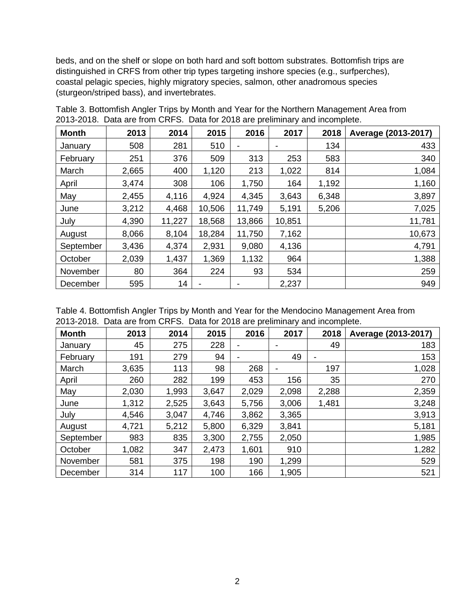beds, and on the shelf or slope on both hard and soft bottom substrates. Bottomfish trips are distinguished in CRFS from other trip types targeting inshore species (e.g., surfperches), coastal pelagic species, highly migratory species, salmon, other anadromous species (sturgeon/striped bass), and invertebrates.

| <b>Month</b> | 2013  | 2014   | 2015   | 2016           | 2017   | 2018  | Average (2013-2017) |
|--------------|-------|--------|--------|----------------|--------|-------|---------------------|
| January      | 508   | 281    | 510    | $\blacksquare$ |        | 134   | 433                 |
| February     | 251   | 376    | 509    | 313            | 253    | 583   | 340                 |
| March        | 2,665 | 400    | 1,120  | 213            | 1,022  | 814   | 1,084               |
| April        | 3,474 | 308    | 106    | 1,750          | 164    | 1,192 | 1,160               |
| May          | 2,455 | 4,116  | 4,924  | 4,345          | 3,643  | 6,348 | 3,897               |
| June         | 3,212 | 4,468  | 10,506 | 11,749         | 5,191  | 5,206 | 7,025               |
| July         | 4,390 | 11,227 | 18,568 | 13,866         | 10,851 |       | 11,781              |
| August       | 8,066 | 8,104  | 18,284 | 11,750         | 7,162  |       | 10,673              |
| September    | 3,436 | 4,374  | 2,931  | 9,080          | 4,136  |       | 4,791               |
| October      | 2,039 | 1,437  | 1,369  | 1,132          | 964    |       | 1,388               |
| November     | 80    | 364    | 224    | 93             | 534    |       | 259                 |
| December     | 595   | 14     |        |                | 2,237  |       | 949                 |

Table 3. Bottomfish Angler Trips by Month and Year for the Northern Management Area from 2013-2018. Data are from CRFS. Data for 2018 are preliminary and incomplete.

Table 4. Bottomfish Angler Trips by Month and Year for the Mendocino Management Area from 2013-2018. Data are from CRFS. Data for 2018 are preliminary and incomplete.

| <b>Month</b> | 2013  | 2014  | 2015  | 2016                     | 2017                     | 2018  | Average (2013-2017) |
|--------------|-------|-------|-------|--------------------------|--------------------------|-------|---------------------|
| January      | 45    | 275   | 228   | $\overline{\phantom{a}}$ | ٠                        | 49    | 183                 |
| February     | 191   | 279   | 94    | $\overline{\phantom{0}}$ | 49                       | -     | 153                 |
| March        | 3,635 | 113   | 98    | 268                      | $\overline{\phantom{a}}$ | 197   | 1,028               |
| April        | 260   | 282   | 199   | 453                      | 156                      | 35    | 270                 |
| May          | 2,030 | 1,993 | 3,647 | 2,029                    | 2,098                    | 2,288 | 2,359               |
| June         | 1,312 | 2,525 | 3,643 | 5,756                    | 3,006                    | 1,481 | 3,248               |
| July         | 4,546 | 3,047 | 4,746 | 3,862                    | 3,365                    |       | 3,913               |
| August       | 4,721 | 5,212 | 5,800 | 6,329                    | 3,841                    |       | 5,181               |
| September    | 983   | 835   | 3,300 | 2,755                    | 2,050                    |       | 1,985               |
| October      | 1,082 | 347   | 2,473 | 1,601                    | 910                      |       | 1,282               |
| November     | 581   | 375   | 198   | 190                      | 1,299                    |       | 529                 |
| December     | 314   | 117   | 100   | 166                      | 1,905                    |       | 521                 |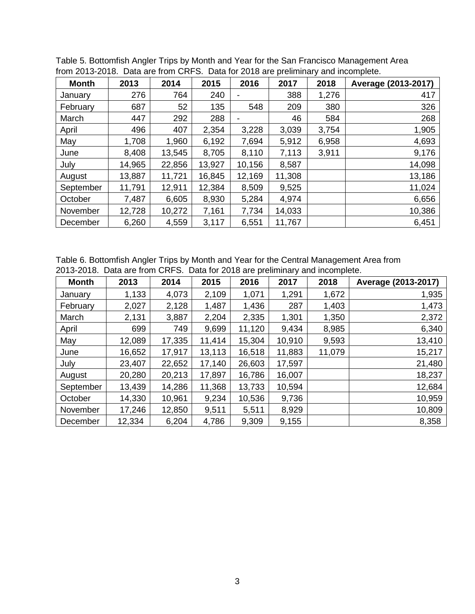| <b>Month</b> | 2013   | 2014   | 2015   | 2016           | 2017   | 2018  | Average (2013-2017) |
|--------------|--------|--------|--------|----------------|--------|-------|---------------------|
| January      | 276    | 764    | 240    | $\blacksquare$ | 388    | 1,276 | 417                 |
| February     | 687    | 52     | 135    | 548            | 209    | 380   | 326                 |
| March        | 447    | 292    | 288    | $\blacksquare$ | 46     | 584   | 268                 |
| April        | 496    | 407    | 2,354  | 3,228          | 3,039  | 3,754 | 1,905               |
| May          | 1,708  | 1,960  | 6,192  | 7,694          | 5,912  | 6,958 | 4,693               |
| June         | 8,408  | 13,545 | 8,705  | 8,110          | 7,113  | 3,911 | 9,176               |
| July         | 14,965 | 22,856 | 13,927 | 10,156         | 8,587  |       | 14,098              |
| August       | 13,887 | 11,721 | 16,845 | 12,169         | 11,308 |       | 13,186              |
| September    | 11,791 | 12,911 | 12,384 | 8,509          | 9,525  |       | 11,024              |
| October      | 7,487  | 6,605  | 8,930  | 5,284          | 4,974  |       | 6,656               |
| November     | 12,728 | 10,272 | 7,161  | 7,734          | 14,033 |       | 10,386              |
| December     | 6,260  | 4,559  | 3,117  | 6,551          | 11,767 |       | 6,451               |

Table 5. Bottomfish Angler Trips by Month and Year for the San Francisco Management Area from 2013-2018. Data are from CRFS. Data for 2018 are preliminary and incomplete.

Table 6. Bottomfish Angler Trips by Month and Year for the Central Management Area from 2013-2018. Data are from CRFS. Data for 2018 are preliminary and incomplete.

| <b>Month</b> | 2013   | 2014   | 2015   | 2016   | 2017   | 2018   | Average (2013-2017) |
|--------------|--------|--------|--------|--------|--------|--------|---------------------|
| January      | 1,133  | 4,073  | 2,109  | 1,071  | 1,291  | 1,672  | 1,935               |
| February     | 2,027  | 2,128  | 1,487  | 1,436  | 287    | 1,403  | 1,473               |
| March        | 2,131  | 3,887  | 2,204  | 2,335  | 1,301  | 1,350  | 2,372               |
| April        | 699    | 749    | 9,699  | 11,120 | 9,434  | 8,985  | 6,340               |
| May          | 12,089 | 17,335 | 11,414 | 15,304 | 10,910 | 9,593  | 13,410              |
| June         | 16,652 | 17,917 | 13,113 | 16,518 | 11,883 | 11,079 | 15,217              |
| July         | 23,407 | 22,652 | 17,140 | 26,603 | 17,597 |        | 21,480              |
| August       | 20,280 | 20,213 | 17,897 | 16,786 | 16,007 |        | 18,237              |
| September    | 13,439 | 14,286 | 11,368 | 13,733 | 10,594 |        | 12,684              |
| October      | 14,330 | 10,961 | 9,234  | 10,536 | 9,736  |        | 10,959              |
| November     | 17,246 | 12,850 | 9,511  | 5,511  | 8,929  |        | 10,809              |
| December     | 12,334 | 6,204  | 4,786  | 9,309  | 9,155  |        | 8,358               |